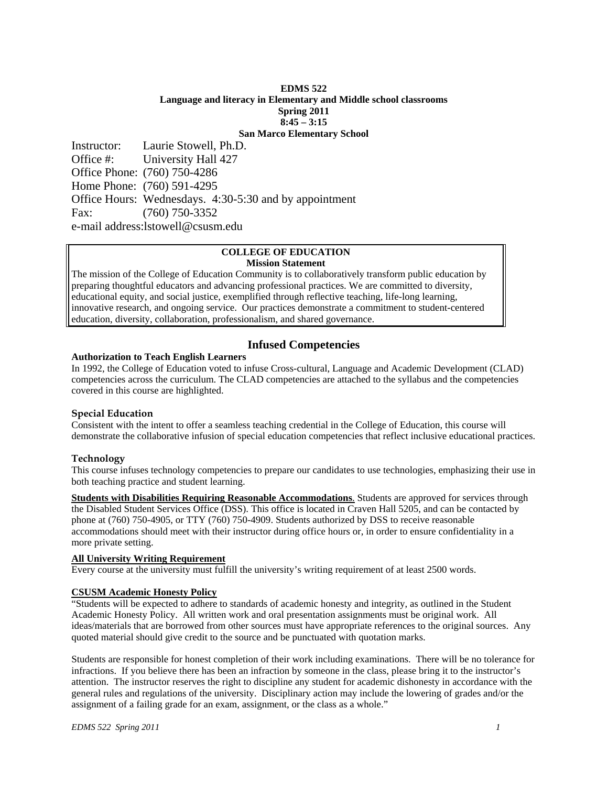## **EDMS 522 Language and literacy in Elementary and Middle school classrooms Spring 2011 8:45 – 3:15 San Marco Elementary School**

Instructor: Laurie Stowell, Ph.D. Office #: University Hall 427 Office Phone: (760) 750-4286 Home Phone: (760) 591-4295 Office Hours: Wednesdays. 4:30-5:30 and by appointment Fax: (760) 750-3352 e-mail address:lstowell@csusm.edu

### **COLLEGE OF EDUCATION Mission Statement**

The mission of the College of Education Community is to collaboratively transform public education by preparing thoughtful educators and advancing professional practices. We are committed to diversity, educational equity, and social justice, exemplified through reflective teaching, life-long learning, innovative research, and ongoing service. Our practices demonstrate a commitment to student-centered education, diversity, collaboration, professionalism, and shared governance.

# **Infused Competencies**

### **Authorization to Teach English Learners**

In 1992, the College of Education voted to infuse Cross-cultural, Language and Academic Development (CLAD) competencies across the curriculum. The CLAD competencies are attached to the syllabus and the competencies covered in this course are highlighted.

# **Special Education**

Consistent with the intent to offer a seamless teaching credential in the College of Education, this course will demonstrate the collaborative infusion of special education competencies that reflect inclusive educational practices.

# **Technology**

This course infuses technology competencies to prepare our candidates to use technologies, emphasizing their use in both teaching practice and student learning.

 more private setting. **Students with Disabilities Requiring Reasonable Accommodations**. Students are approved for services through the Disabled Student Services Office (DSS). This office is located in Craven Hall 5205, and can be contacted by phone at (760) 750-4905, or TTY (760) 750-4909. Students authorized by DSS to receive reasonable accommodations should meet with their instructor during office hours or, in order to ensure confidentiality in a

# **All University Writing Requirement**

Every course at the university must fulfill the university's writing requirement of at least 2500 words.

# **CSUSM Academic Honesty Policy**

"Students will be expected to adhere to standards of academic honesty and integrity, as outlined in the Student Academic Honesty Policy. All written work and oral presentation assignments must be original work. All ideas/materials that are borrowed from other sources must have appropriate references to the original sources. Any quoted material should give credit to the source and be punctuated with quotation marks.

Students are responsible for honest completion of their work including examinations. There will be no tolerance for infractions. If you believe there has been an infraction by someone in the class, please bring it to the instructor's attention. The instructor reserves the right to discipline any student for academic dishonesty in accordance with the general rules and regulations of the university. Disciplinary action may include the lowering of grades and/or the assignment of a failing grade for an exam, assignment, or the class as a whole."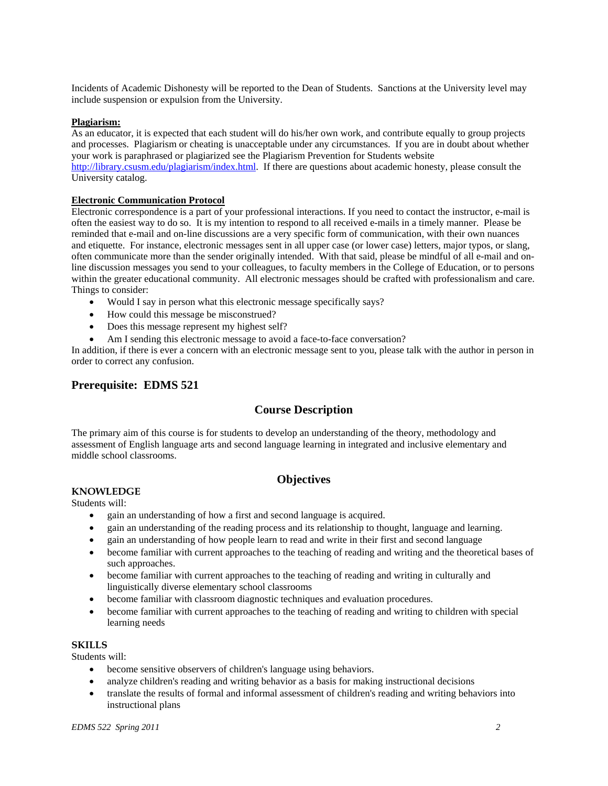Incidents of Academic Dishonesty will be reported to the Dean of Students. Sanctions at the University level may include suspension or expulsion from the University.

#### **Plagiarism:**

As an educator, it is expected that each student will do his/her own work, and contribute equally to group projects and processes. Plagiarism or cheating is unacceptable under any circumstances. If you are in doubt about whether your work is paraphrased or plagiarized see the Plagiarism Prevention for Students website http://library.csusm.edu/plagiarism/index.html. If there are questions about academic honesty, please consult the University catalog.

### **Electronic Communication Protocol**

Electronic correspondence is a part of your professional interactions. If you need to contact the instructor, e-mail is often the easiest way to do so. It is my intention to respond to all received e-mails in a timely manner. Please be reminded that e-mail and on-line discussions are a very specific form of communication, with their own nuances and etiquette. For instance, electronic messages sent in all upper case (or lower case) letters, major typos, or slang, often communicate more than the sender originally intended. With that said, please be mindful of all e-mail and online discussion messages you send to your colleagues, to faculty members in the College of Education, or to persons within the greater educational community. All electronic messages should be crafted with professionalism and care. Things to consider:

- Would I say in person what this electronic message specifically says?
- How could this message be misconstrued?
- Does this message represent my highest self?
- Am I sending this electronic message to avoid a face-to-face conversation?

In addition, if there is ever a concern with an electronic message sent to you, please talk with the author in person in order to correct any confusion.

# **Prerequisite: EDMS 521**

# **Course Description**

The primary aim of this course is for students to develop an understanding of the theory, methodology and assessment of English language arts and second language learning in integrated and inclusive elementary and middle school classrooms.

# **Objectives**

#### **KNOWLEDGE**

Students will:

- gain an understanding of how a first and second language is acquired.
- gain an understanding of the reading process and its relationship to thought, language and learning.
- gain an understanding of how people learn to read and write in their first and second language
- become familiar with current approaches to the teaching of reading and writing and the theoretical bases of such approaches.
- become familiar with current approaches to the teaching of reading and writing in culturally and linguistically diverse elementary school classrooms
- become familiar with classroom diagnostic techniques and evaluation procedures.
- become familiar with current approaches to the teaching of reading and writing to children with special learning needs

# **SKILLS**

Students will:

- become sensitive observers of children's language using behaviors.
- analyze children's reading and writing behavior as a basis for making instructional decisions
- translate the results of formal and informal assessment of children's reading and writing behaviors into instructional plans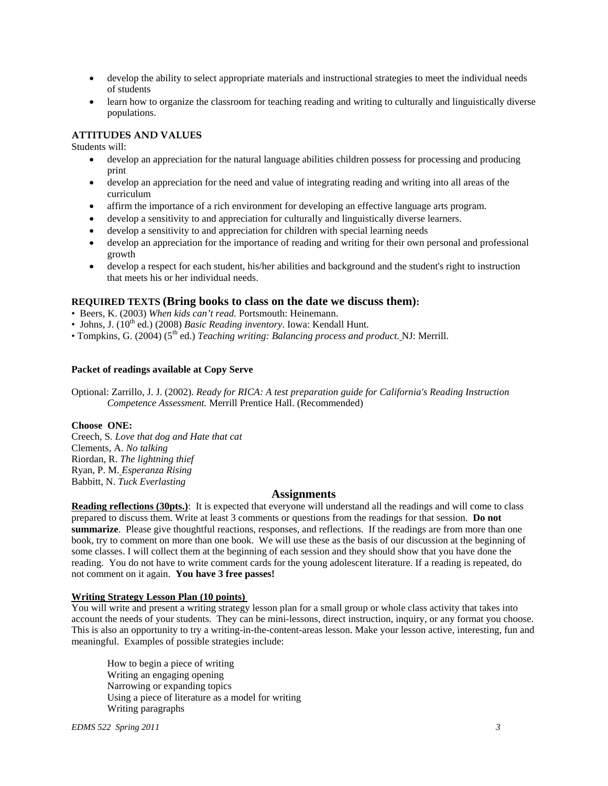- develop the ability to select appropriate materials and instructional strategies to meet the individual needs of students
- learn how to organize the classroom for teaching reading and writing to culturally and linguistically diverse populations.

## **ATTITUDES AND VALUES**

Students will:

- develop an appreciation for the natural language abilities children possess for processing and producing print
- develop an appreciation for the need and value of integrating reading and writing into all areas of the curriculum
- affirm the importance of a rich environment for developing an effective language arts program.
- develop a sensitivity to and appreciation for culturally and linguistically diverse learners.
- develop a sensitivity to and appreciation for children with special learning needs
- develop an appreciation for the importance of reading and writing for their own personal and professional growth
- develop a respect for each student, his/her abilities and background and the student's right to instruction that meets his or her individual needs.

# **REQUIRED TEXTS (Bring books to class on the date we discuss them):**

- Beers, K. (2003) *When kids can't read.* Portsmouth: Heinemann.
- Johns, J. (10<sup>th</sup> ed.) (2008) *Basic Reading inventory*. Iowa: Kendall Hunt.
- Tompkins, G. (2004) (5th ed.) *Teaching writing: Balancing process and product.* NJ: Merrill.

#### **Packet of readings available at Copy Serve**

Optional: Zarrillo, J. J. (2002). *Ready for RICA: A test preparation guide for California's Reading Instruction Competence Assessment.* Merrill Prentice Hall. (Recommended)

#### **Choose ONE:**

 Riordan, R. *The lightning thief* Creech, S*. Love that dog and Hate that cat*  Clements, A. *No talking*  Ryan, P. M. *Esperanza Rising*  Babbitt, N. *Tuck Everlasting* 

# **Assignments**

**Reading reflections (30pts.)**: It is expected that everyone will understand all the readings and will come to class prepared to discuss them. Write at least 3 comments or questions from the readings for that session. **Do not summarize**. Please give thoughtful reactions, responses, and reflections. If the readings are from more than one book, try to comment on more than one book. We will use these as the basis of our discussion at the beginning of some classes. I will collect them at the beginning of each session and they should show that you have done the reading. You do not have to write comment cards for the young adolescent literature. If a reading is repeated, do not comment on it again. **You have 3 free passes!** 

#### **Writing Strategy Lesson Plan (10 points)**

 meaningful. Examples of possible strategies include: How to begin a piece of writing You will write and present a writing strategy lesson plan for a small group or whole class activity that takes into account the needs of your students. They can be mini-lessons, direct instruction, inquiry, or any format you choose. This is also an opportunity to try a writing-in-the-content-areas lesson. Make your lesson active, interesting, fun and

Writing an engaging opening Narrowing or expanding topics Using a piece of literature as a model for writing Writing paragraphs

*EDMS 522 Spring 2011 3*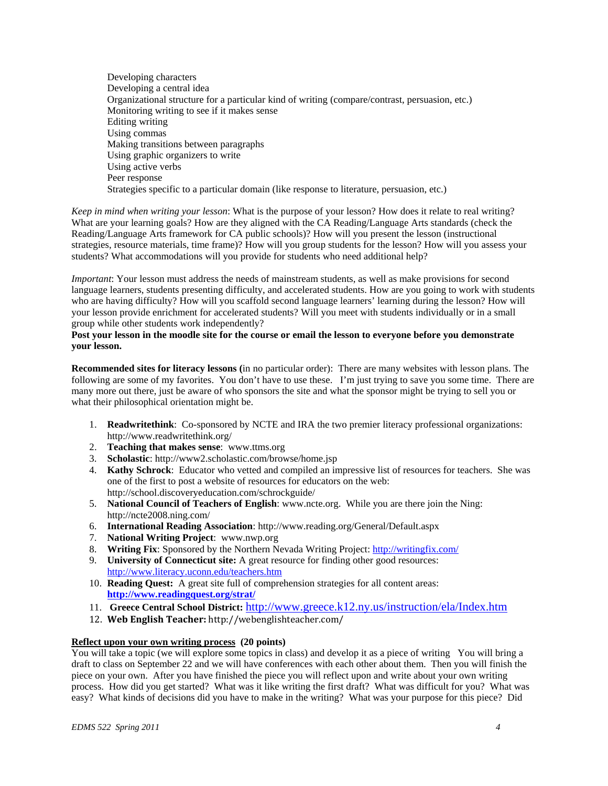Developing characters Developing a central idea Organizational structure for a particular kind of writing (compare/contrast, persuasion, etc.) Monitoring writing to see if it makes sense Editing writing Using commas Making transitions between paragraphs Using graphic organizers to write Using active verbs Peer response Strategies specific to a particular domain (like response to literature, persuasion, etc.)

 students? What accommodations will you provide for students who need additional help? *Keep in mind when writing your lesson*: What is the purpose of your lesson? How does it relate to real writing? What are your learning goals? How are they aligned with the CA Reading/Language Arts standards (check the Reading/Language Arts framework for CA public schools)? How will you present the lesson (instructional strategies, resource materials, time frame)? How will you group students for the lesson? How will you assess your

 group while other students work independently? *Important*: Your lesson must address the needs of mainstream students, as well as make provisions for second language learners, students presenting difficulty, and accelerated students. How are you going to work with students who are having difficulty? How will you scaffold second language learners' learning during the lesson? How will your lesson provide enrichment for accelerated students? Will you meet with students individually or in a small

### **Post your lesson in the moodle site for the course or email the lesson to everyone before you demonstrate your lesson.**

**Recommended sites for literacy lessons (**in no particular order): There are many websites with lesson plans. The following are some of my favorites. You don't have to use these. I'm just trying to save you some time. There are many more out there, just be aware of who sponsors the site and what the sponsor might be trying to sell you or what their philosophical orientation might be.

- 1. **Readwritethink**: Co-sponsored by NCTE and IRA the two premier literacy professional organizations: http://www.readwritethink.org/
- 2. **Teaching that makes sense**: www.ttms.org
- 3. **Scholastic**: http://www2.scholastic.com/browse/home.jsp
- 4. **Kathy Schrock**: Educator who vetted and compiled an impressive list of resources for teachers. She was one of the first to post a website of resources for educators on the web: http://school.discoveryeducation.com/schrockguide/
- 5. **National Council of Teachers of English**: www.ncte.org. While you are there join the Ning: http://ncte2008.ning.com/
- 6. **International Reading Association**: http://www.reading.org/General/Default.aspx
- 7. **National Writing Project**: www.nwp.org
- 8. **Writing Fix**: Sponsored by the Northern Nevada Writing Project: http://writingfix.com/
- 9. **University of Connecticut site:** A great resource for finding other good resources: http://www.literacy.uconn.edu/teachers.htm
- 10. **Reading Quest:** A great site full of comprehension strategies for all content areas: **http://www.readingquest.org/strat/**
- 11. **Greece Central School District:** http://www.greece.k12.ny.us/instruction/ela/Index.htm
- 12. **Web English Teacher:** http://webenglishteacher.com/

# **Reflect upon your own writing process (20 points)**

You will take a topic (we will explore some topics in class) and develop it as a piece of writing You will bring a draft to class on September 22 and we will have conferences with each other about them. Then you will finish the piece on your own. After you have finished the piece you will reflect upon and write about your own writing process. How did you get started? What was it like writing the first draft? What was difficult for you? What was easy? What kinds of decisions did you have to make in the writing? What was your purpose for this piece? Did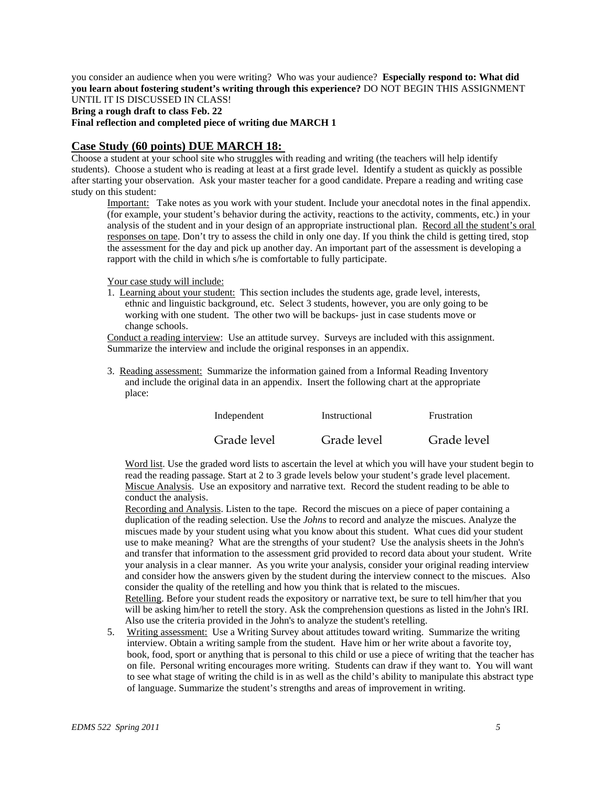you consider an audience when you were writing? Who was your audience? **Especially respond to: What did you learn about fostering student's writing through this experience?** DO NOT BEGIN THIS ASSIGNMENT UNTIL IT IS DISCUSSED IN CLASS! **Bring a rough draft to class Feb. 22** 

**Final reflection and completed piece of writing due MARCH 1** 

# **Case Study (60 points) DUE MARCH 18:**

study on this student: Choose a student at your school site who struggles with reading and writing (the teachers will help identify students). Choose a student who is reading at least at a first grade level. Identify a student as quickly as possible after starting your observation. Ask your master teacher for a good candidate. Prepare a reading and writing case

Important: Take notes as you work with your student. Include your anecdotal notes in the final appendix. (for example, your student's behavior during the activity, reactions to the activity, comments, etc.) in your analysis of the student and in your design of an appropriate instructional plan. Record all the student's oral responses on tape. Don't try to assess the child in only one day. If you think the child is getting tired, stop the assessment for the day and pick up another day. An important part of the assessment is developing a rapport with the child in which s/he is comfortable to fully participate.

Your case study will include:

1. Learning about your student: This section includes the students age, grade level, interests, ethnic and linguistic background, etc. Select 3 students, however, you are only going to be working with one student. The other two will be backups- just in case students move or change schools.

Conduct a reading interview: Use an attitude survey. Surveys are included with this assignment. Summarize the interview and include the original responses in an appendix.

3. Reading assessment: Summarize the information gained from a Informal Reading Inventory and include the original data in an appendix. Insert the following chart at the appropriate place:

| Independent | Instructional | Frustration |
|-------------|---------------|-------------|
| Grade level | Grade level   | Grade level |

Word list. Use the graded word lists to ascertain the level at which you will have your student begin to read the reading passage. Start at 2 to 3 grade levels below your student's grade level placement. Miscue Analysis. Use an expository and narrative text. Record the student reading to be able to conduct the analysis.

Recording and Analysis. Listen to the tape. Record the miscues on a piece of paper containing a duplication of the reading selection. Use the *Johns* to record and analyze the miscues. Analyze the miscues made by your student using what you know about this student. What cues did your student use to make meaning? What are the strengths of your student? Use the analysis sheets in the John's and transfer that information to the assessment grid provided to record data about your student. Write your analysis in a clear manner. As you write your analysis, consider your original reading interview and consider how the answers given by the student during the interview connect to the miscues. Also consider the quality of the retelling and how you think that is related to the miscues. Retelling. Before your student reads the expository or narrative text, be sure to tell him/her that you will be asking him/her to retell the story. Ask the comprehension questions as listed in the John's IRI. Also use the criteria provided in the John's to analyze the student's retelling.

5. Writing assessment: Use a Writing Survey about attitudes toward writing. Summarize the writing interview. Obtain a writing sample from the student. Have him or her write about a favorite toy, book, food, sport or anything that is personal to this child or use a piece of writing that the teacher has on file. Personal writing encourages more writing. Students can draw if they want to. You will want to see what stage of writing the child is in as well as the child's ability to manipulate this abstract type of language. Summarize the student's strengths and areas of improvement in writing.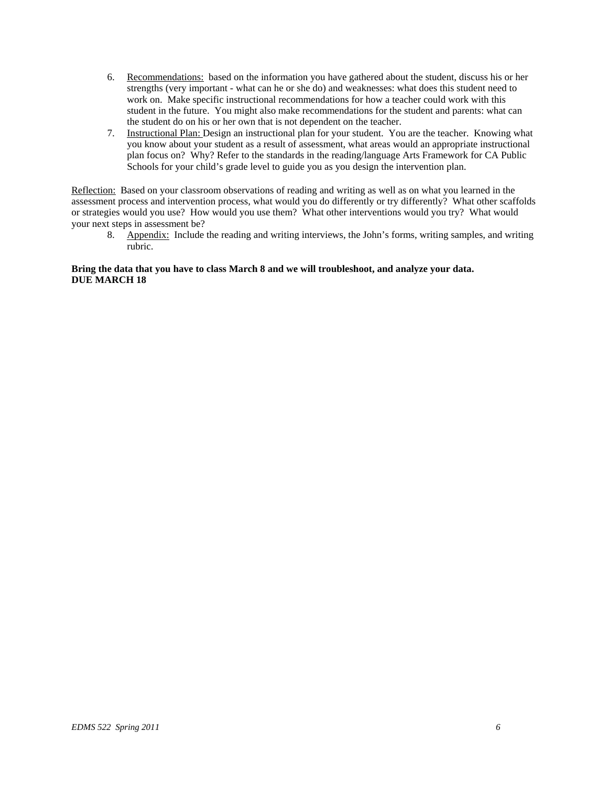- 6. Recommendations: based on the information you have gathered about the student, discuss his or her strengths (very important - what can he or she do) and weaknesses: what does this student need to work on. Make specific instructional recommendations for how a teacher could work with this student in the future. You might also make recommendations for the student and parents: what can the student do on his or her own that is not dependent on the teacher.
- 7. Instructional Plan: Design an instructional plan for your student. You are the teacher. Knowing what you know about your student as a result of assessment, what areas would an appropriate instructional plan focus on? Why? Refer to the standards in the reading/language Arts Framework for CA Public Schools for your child's grade level to guide you as you design the intervention plan.

Reflection: Based on your classroom observations of reading and writing as well as on what you learned in the assessment process and intervention process, what would you do differently or try differently? What other scaffolds or strategies would you use? How would you use them? What other interventions would you try? What would your next steps in assessment be?

8. Appendix: Include the reading and writing interviews, the John's forms, writing samples, and writing rubric.

## **Bring the data that you have to class March 8 and we will troubleshoot, and analyze your data. DUE MARCH 18**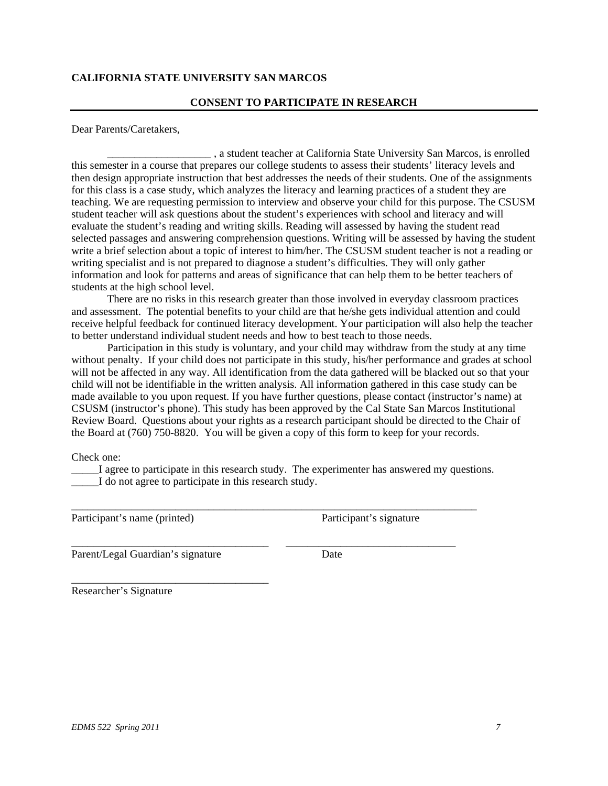# **CALIFORNIA STATE UNIVERSITY SAN MARCOS**

# **CONSENT TO PARTICIPATE IN RESEARCH**

Dear Parents/Caretakers,

\_\_\_\_\_\_\_\_\_\_\_\_\_\_\_\_\_\_\_ , a student teacher at California State University San Marcos, is enrolled this semester in a course that prepares our college students to assess their students' literacy levels and then design appropriate instruction that best addresses the needs of their students. One of the assignments for this class is a case study, which analyzes the literacy and learning practices of a student they are teaching. We are requesting permission to interview and observe your child for this purpose. The CSUSM student teacher will ask questions about the student's experiences with school and literacy and will evaluate the student's reading and writing skills. Reading will assessed by having the student read selected passages and answering comprehension questions. Writing will be assessed by having the student write a brief selection about a topic of interest to him/her. The CSUSM student teacher is not a reading or writing specialist and is not prepared to diagnose a student's difficulties. They will only gather information and look for patterns and areas of significance that can help them to be better teachers of students at the high school level.

There are no risks in this research greater than those involved in everyday classroom practices and assessment. The potential benefits to your child are that he/she gets individual attention and could receive helpful feedback for continued literacy development. Your participation will also help the teacher to better understand individual student needs and how to best teach to those needs.

Participation in this study is voluntary, and your child may withdraw from the study at any time without penalty. If your child does not participate in this study, his/her performance and grades at school will not be affected in any way. All identification from the data gathered will be blacked out so that your child will not be identifiable in the written analysis. All information gathered in this case study can be made available to you upon request. If you have further questions, please contact (instructor's name) at CSUSM (instructor's phone). This study has been approved by the Cal State San Marcos Institutional Review Board. Questions about your rights as a research participant should be directed to the Chair of the Board at (760) 750-8820. You will be given a copy of this form to keep for your records.

Check one:

\_\_\_\_\_I agree to participate in this research study. The experimenter has answered my questions. I do not agree to participate in this research study.

\_\_\_\_\_\_\_\_\_\_\_\_\_\_\_\_\_\_\_\_\_\_\_\_\_\_\_\_\_\_\_\_\_\_\_\_\_\_\_\_\_\_\_\_\_\_\_\_\_\_\_\_\_\_\_\_\_\_\_\_\_\_\_\_\_\_\_\_\_\_\_\_\_\_

\_\_\_\_\_\_\_\_\_\_\_\_\_\_\_\_\_\_\_\_\_\_\_\_\_\_\_\_\_\_\_\_\_\_\_\_ \_\_\_\_\_\_\_\_\_\_\_\_\_\_\_\_\_\_\_\_\_\_\_\_\_\_\_\_\_\_\_

Participant's name (printed) Participant's signature

Parent/Legal Guardian's signature Date

\_\_\_\_\_\_\_\_\_\_\_\_\_\_\_\_\_\_\_\_\_\_\_\_\_\_\_\_\_\_\_\_\_\_\_\_

Researcher's Signature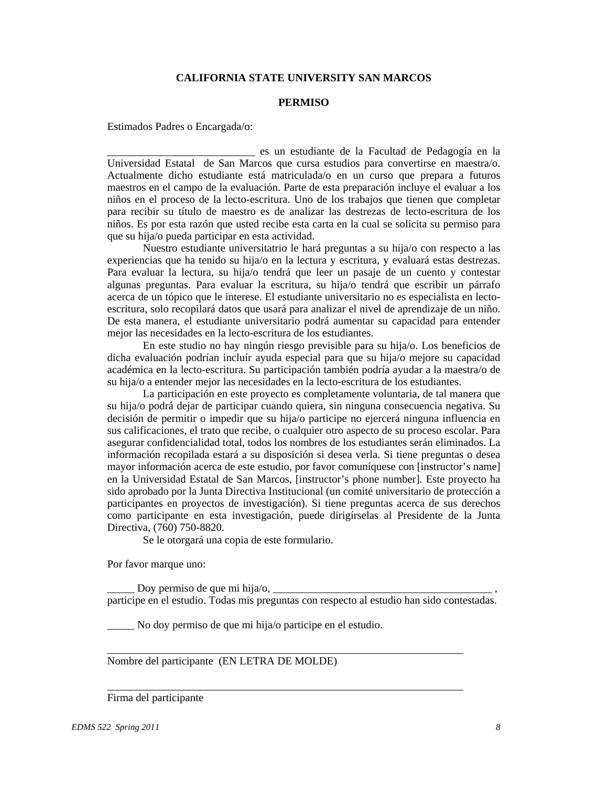# **CALIFORNIA STATE UNIVERSITY SAN MARCOS**

#### **PERMISO**

Estimados Padres o Encargada/o:

\_\_\_\_\_\_\_\_\_\_\_\_\_\_\_\_\_\_\_\_\_\_\_\_\_\_\_ es un estudiante de la Facultad de Pedagogía en la Universidad Estatal de San Marcos que cursa estudios para convertirse en maestra/o. Actualmente dicho estudiante está matriculada/o en un curso que prepara a futuros maestros en el campo de la evaluación. Parte de esta preparación incluye el evaluar a los niños en el proceso de la lecto-escritura. Uno de los trabajos que tienen que completar para recibir su título de maestro es de analizar las destrezas de lecto-escritura de los niños. Es por esta razón que usted recibe esta carta en la cual se solicita su permiso para que su hija/o pueda participar en esta actividad.

Nuestro estudiante universitatrio le hará preguntas a su hija/o con respecto a las experiencias que ha tenido su hija/o en la lectura y escritura, y evaluará estas destrezas. Para evaluar la lectura, su hija/o tendrá que leer un pasaje de un cuento y contestar algunas preguntas. Para evaluar la escritura, su hija/o tendrá que escribir un párrafo acerca de un tópico que le interese. El estudiante universitario no es especialista en lectoescritura, solo recopilará datos que usará para analizar el nivel de aprendizaje de un niño. De esta manera, el estudiante universitario podrá aumentar su capacidad para entender mejor las necesidades en la lecto-escritura de los estudiantes.

En este studio no hay ningún riesgo previsible para su hija/o. Los beneficios de dicha evaluación podrían incluír ayuda especial para que su hija/o mejore su capacidad académica en la lecto-escritura. Su participación también podría ayudar a la maestra/o de su hija/o a entender mejor las necesidades en la lecto-escritura de los estudiantes.

La participación en este proyecto es completamente voluntaria, de tal manera que su hija/o podrá dejar de participar cuando quiera, sin ninguna consecuencia negativa. Su decisión de permitir o impedir que su hija/o participe no ejercerá ninguna influencia en sus calificaciones, el trato que recibe, o cualquier otro aspecto de su proceso escolar. Para asegurar confidencialidad total, todos los nombres de los estudiantes serán eliminados. La información recopilada estará a su disposición si desea verla. Si tiene preguntas o desea mayor información acerca de este estudio, por favor comuníquese con [instructor's name] en la Universidad Estatal de San Marcos, [instructor's phone number]. Este proyecto ha sido aprobado por la Junta Directiva Institucional (un comité universitario de protección a participantes en proyectos de investigación). Si tiene preguntas acerca de sus derechos como participante en esta investigación, puede dirigírselas al Presidente de la Junta Directiva, (760) 750-8820.

Se le otorgará una copia de este formulario.

Por favor marque uno:

Doy permiso de que mi hija/o,  $\Box$ participe en el estudio. Todas mis preguntas con respecto al estudio han sido contestadas.

\_\_\_\_\_\_\_\_\_\_\_\_\_\_\_\_\_\_\_\_\_\_\_\_\_\_\_\_\_\_\_\_\_\_\_\_\_\_\_\_\_\_\_\_\_\_\_\_\_\_\_\_\_\_\_\_\_\_\_\_\_\_\_\_\_

\_\_\_\_\_\_\_\_\_\_\_\_\_\_\_\_\_\_\_\_\_\_\_\_\_\_\_\_\_\_\_\_\_\_\_\_\_\_\_\_\_\_\_\_\_\_\_\_\_\_\_\_\_\_\_\_\_\_\_\_\_\_\_\_\_

\_\_\_\_\_ No doy permiso de que mi hija/o participe en el estudio.

Nombre del participante (EN LETRA DE MOLDE)

## Firma del participante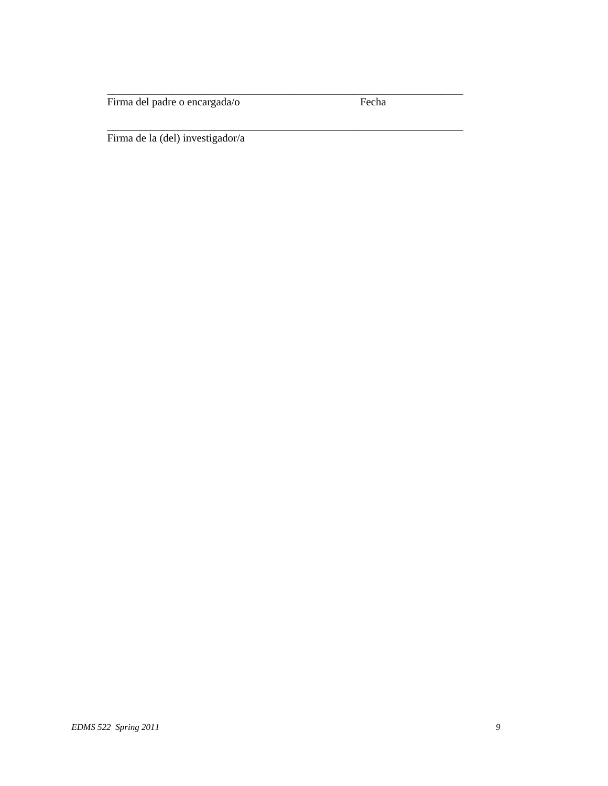Firma del padre o encargada/o Fecha

\_\_\_\_\_\_\_\_\_\_\_\_\_\_\_\_\_\_\_\_\_\_\_\_\_\_\_\_\_\_\_\_\_\_\_\_\_\_\_\_\_\_\_\_\_\_\_\_\_\_\_\_\_\_\_\_\_\_\_\_\_\_\_\_\_

\_\_\_\_\_\_\_\_\_\_\_\_\_\_\_\_\_\_\_\_\_\_\_\_\_\_\_\_\_\_\_\_\_\_\_\_\_\_\_\_\_\_\_\_\_\_\_\_\_\_\_\_\_\_\_\_\_\_\_\_\_\_\_\_\_

Firma de la (del) investigador/a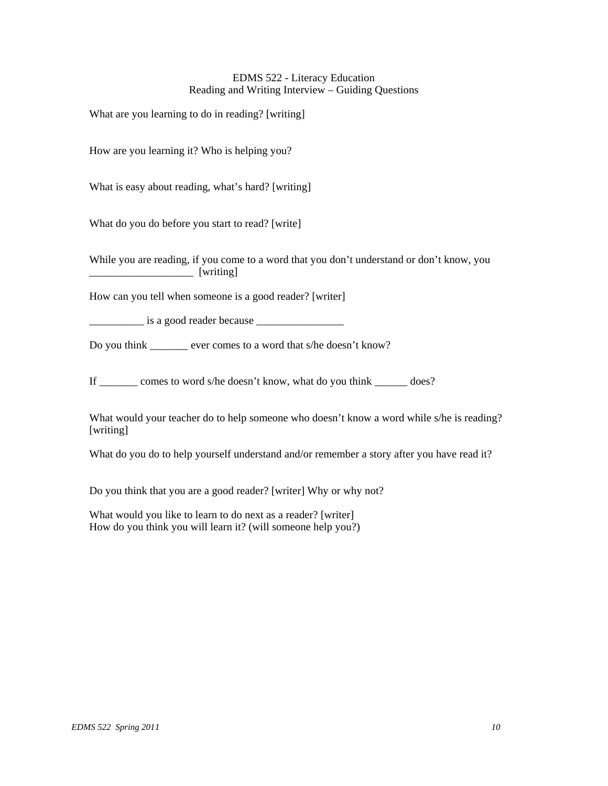# EDMS 522 - Literacy Education Reading and Writing Interview – Guiding Questions

What are you learning to do in reading? [writing]

How are you learning it? Who is helping you?

What is easy about reading, what's hard? [writing]

What do you do before you start to read? [write]

While you are reading, if you come to a word that you don't understand or don't know, you \_\_\_\_\_\_\_\_\_\_\_\_\_\_\_\_\_\_\_ [writing]

How can you tell when someone is a good reader? [writer]

\_\_\_\_\_\_\_\_\_\_ is a good reader because \_\_\_\_\_\_\_\_\_\_\_\_\_\_\_\_

Do you think ever comes to a word that s/he doesn't know?

If \_\_\_\_\_\_\_ comes to word s/he doesn't know, what do you think \_\_\_\_\_\_ does?

What would your teacher do to help someone who doesn't know a word while s/he is reading? [writing]

What do you do to help yourself understand and/or remember a story after you have read it?

Do you think that you are a good reader? [writer] Why or why not?

What would you like to learn to do next as a reader? [writer] How do you think you will learn it? (will someone help you?)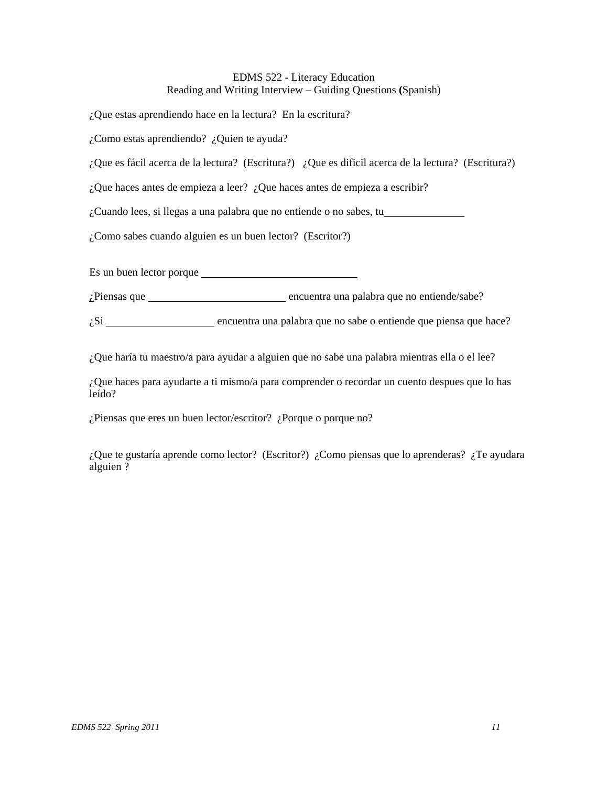# EDMS 522 - Literacy Education Reading and Writing Interview – Guiding Questions **(**Spanish)

¿Que estas aprendiendo hace en la lectura? En la escritura?

¿Como estas aprendiendo? ¿Quien te ayuda?

¿Que es fácil acerca de la lectura? (Escritura?) ¿Que es dificil acerca de la lectura? (Escritura?)

¿Que haces antes de empieza a leer? ¿Que haces antes de empieza a escribir?

¿Cuando lees, si llegas a una palabra que no entiende o no sabes, tu

¿Como sabes cuando alguien es un buen lector? (Escritor?)

Es un buen lector porque

¿Piensas que encuentra una palabra que no entiende/sabe?

 $\zeta$ Si  $\frac{1}{\zeta}$  encuentra una palabra que no sabe o entiende que piensa que hace?

¿Que haría tu maestro/a para ayudar a alguien que no sabe una palabra mientras ella o el lee?

¿Que haces para ayudarte a ti mismo/a para comprender o recordar un cuento despues que lo has leído?

¿Piensas que eres un buen lector/escritor? ¿Porque o porque no?

¿Que te gustaría aprende como lector? (Escritor?) ¿Como piensas que lo aprenderas? ¿Te ayudara alguien ?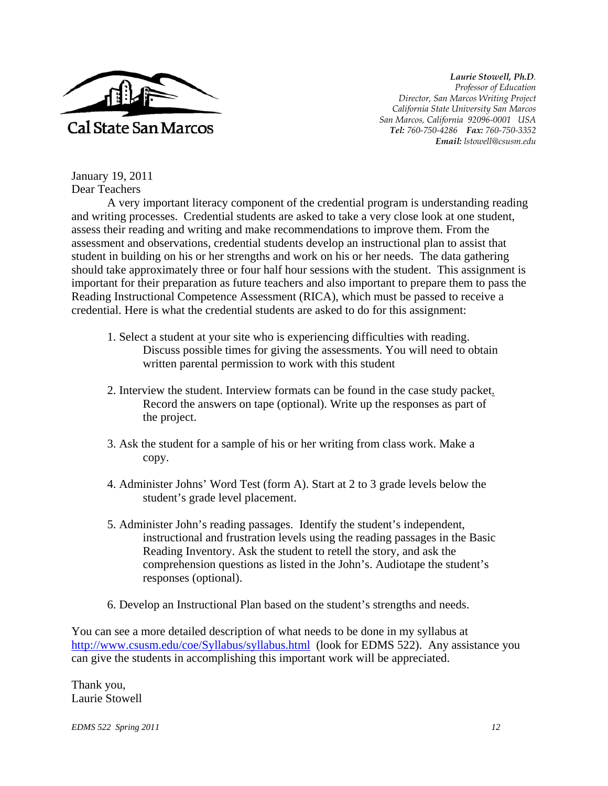

*Laurie Stowell, Ph.D. Professor of Education Director, San Marcos Writing Project California State University San Marcos San Marcos, California 92096-0001 USA Tel: 760-750-4286 Fax: 760-750-3352 Email: lstowell@csusm.edu* 

January 19, 2011 Dear Teachers

A very important literacy component of the credential program is understanding reading and writing processes. Credential students are asked to take a very close look at one student, assess their reading and writing and make recommendations to improve them. From the assessment and observations, credential students develop an instructional plan to assist that student in building on his or her strengths and work on his or her needs. The data gathering should take approximately three or four half hour sessions with the student. This assignment is important for their preparation as future teachers and also important to prepare them to pass the Reading Instructional Competence Assessment (RICA), which must be passed to receive a credential. Here is what the credential students are asked to do for this assignment:

- 1. Select a student at your site who is experiencing difficulties with reading. Discuss possible times for giving the assessments. You will need to obtain written parental permission to work with this student
- 2. Interview the student. Interview formats can be found in the case study packet. Record the answers on tape (optional). Write up the responses as part of the project.
- 3. Ask the student for a sample of his or her writing from class work. Make a copy.
- 4. Administer Johns' Word Test (form A). Start at 2 to 3 grade levels below the student's grade level placement.
- 5. Administer John's reading passages. Identify the student's independent, instructional and frustration levels using the reading passages in the Basic Reading Inventory. Ask the student to retell the story, and ask the comprehension questions as listed in the John's. Audiotape the student's responses (optional).
- 6. Develop an Instructional Plan based on the student's strengths and needs.

You can see a more detailed description of what needs to be done in my syllabus at http://www.csusm.edu/coe/Syllabus/syllabus.html (look for EDMS 522). Any assistance you can give the students in accomplishing this important work will be appreciated.

Thank you, Laurie Stowell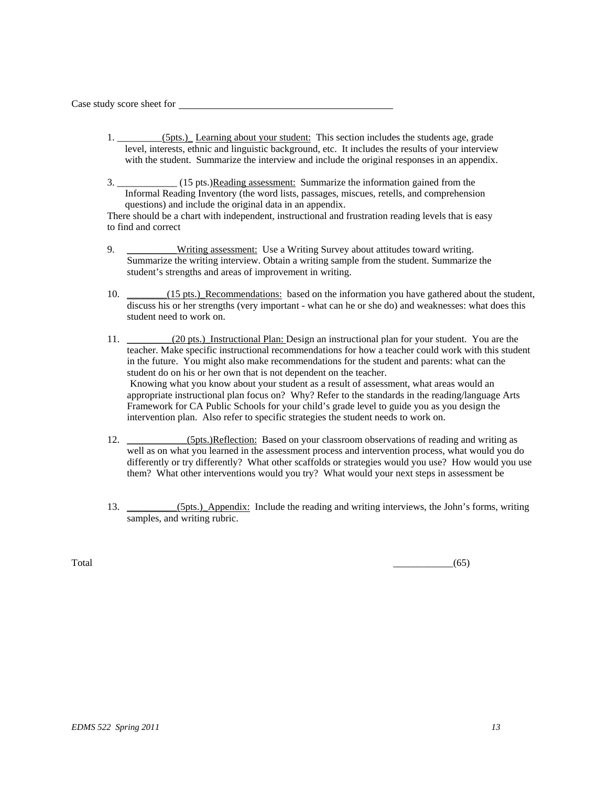Case study score sheet for

- 1.  $(5pts.)$  Learning about your student: This section includes the students age, grade level, interests, ethnic and linguistic background, etc. It includes the results of your interview with the student. Summarize the interview and include the original responses in an appendix.
- 3. \_\_\_\_\_\_\_\_\_\_\_\_ (15 pts.)Reading assessment: Summarize the information gained from the Informal Reading Inventory (the word lists, passages, miscues, retells, and comprehension questions) and include the original data in an appendix.

There should be a chart with independent, instructional and frustration reading levels that is easy to find and correct

- 9. **\_\_\_\_\_\_\_\_\_Writing assessment:** Use a Writing Survey about attitudes toward writing. Summarize the writing interview. Obtain a writing sample from the student. Summarize the student's strengths and areas of improvement in writing.
- 10. \_\_\_\_\_\_(15 pts.)\_Recommendations: based on the information you have gathered about the student, discuss his or her strengths (very important - what can he or she do) and weaknesses: what does this student need to work on.
- 11. \_\_\_\_\_\_\_\_(20 pts.) Instructional Plan: Design an instructional plan for your student. You are the teacher. Make specific instructional recommendations for how a teacher could work with this student in the future. You might also make recommendations for the student and parents: what can the student do on his or her own that is not dependent on the teacher. Knowing what you know about your student as a result of assessment, what areas would an appropriate instructional plan focus on? Why? Refer to the standards in the reading/language Arts Framework for CA Public Schools for your child's grade level to guide you as you design the intervention plan. Also refer to specific strategies the student needs to work on.
- 12. (5pts.)Reflection: Based on your classroom observations of reading and writing as well as on what you learned in the assessment process and intervention process, what would you do differently or try differently? What other scaffolds or strategies would you use? How would you use them? What other interventions would you try? What would your next steps in assessment be
- 13. \_\_\_\_\_\_\_\_\_(5pts.) Appendix: Include the reading and writing interviews, the John's forms, writing samples, and writing rubric.

 $\overline{\text{Total}}$  (65)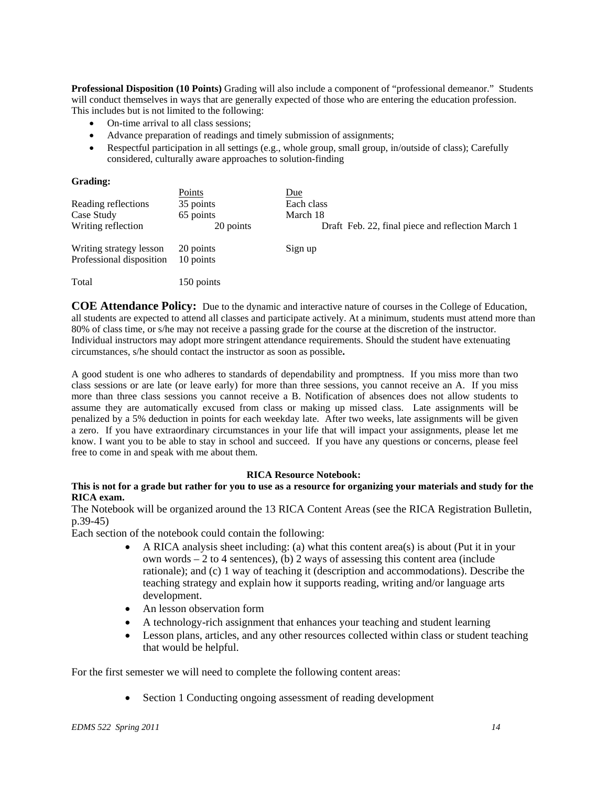**Professional Disposition (10 Points)** Grading will also include a component of "professional demeanor." Students will conduct themselves in ways that are generally expected of those who are entering the education profession. This includes but is not limited to the following:

- On-time arrival to all class sessions;
- Advance preparation of readings and timely submission of assignments;
- Respectful participation in all settings (e.g., whole group, small group, in/outside of class); Carefully considered, culturally aware approaches to solution-finding

#### **Grading:**

|                                                     | Points                 | Due                                               |
|-----------------------------------------------------|------------------------|---------------------------------------------------|
| Reading reflections                                 | 35 points              | Each class                                        |
| Case Study                                          | 65 points              | March 18                                          |
| Writing reflection                                  | 20 points              | Draft Feb. 22, final piece and reflection March 1 |
| Writing strategy lesson<br>Professional disposition | 20 points<br>10 points | Sign up                                           |
| Total                                               | 150 points             |                                                   |

**COE Attendance Policy:** Due to the dynamic and interactive nature of courses in the College of Education, all students are expected to attend all classes and participate actively. At a minimum, students must attend more than 80% of class time, or s/he may not receive a passing grade for the course at the discretion of the instructor. Individual instructors may adopt more stringent attendance requirements. Should the student have extenuating circumstances, s/he should contact the instructor as soon as possible**.** 

A good student is one who adheres to standards of dependability and promptness. If you miss more than two class sessions or are late (or leave early) for more than three sessions, you cannot receive an A. If you miss more than three class sessions you cannot receive a B. Notification of absences does not allow students to assume they are automatically excused from class or making up missed class. Late assignments will be penalized by a 5% deduction in points for each weekday late. After two weeks, late assignments will be given a zero. If you have extraordinary circumstances in your life that will impact your assignments, please let me know. I want you to be able to stay in school and succeed. If you have any questions or concerns, please feel free to come in and speak with me about them.

#### **RICA Resource Notebook:**

# **This is not for a grade but rather for you to use as a resource for organizing your materials and study for the RICA exam.**

The Notebook will be organized around the 13 RICA Content Areas (see the RICA Registration Bulletin, p.39-45)

Each section of the notebook could contain the following:

- $\bullet$  A RICA analysis sheet including: (a) what this content area(s) is about (Put it in your own words – 2 to 4 sentences), (b) 2 ways of assessing this content area (include rationale); and (c) 1 way of teaching it (description and accommodations). Describe the teaching strategy and explain how it supports reading, writing and/or language arts development.
- An lesson observation form
- A technology-rich assignment that enhances your teaching and student learning
- Lesson plans, articles, and any other resources collected within class or student teaching that would be helpful.

For the first semester we will need to complete the following content areas:

• Section 1 Conducting ongoing assessment of reading development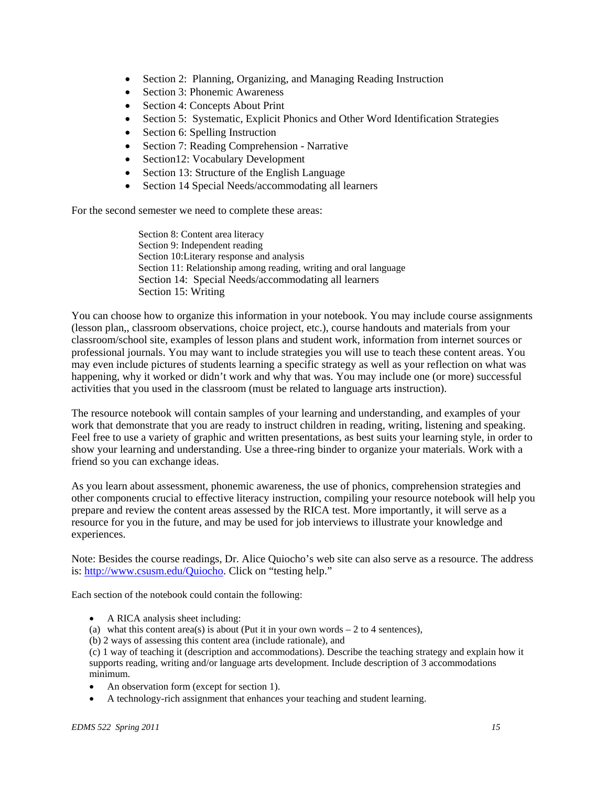- Section 2: Planning, Organizing, and Managing Reading Instruction
- Section 3: Phonemic Awareness
- Section 4: Concepts About Print
- Section 5: Systematic, Explicit Phonics and Other Word Identification Strategies
- Section 6: Spelling Instruction
- Section 7: Reading Comprehension Narrative
- Section12: Vocabulary Development
- Section 13: Structure of the English Language
- Section 14 Special Needs/accommodating all learners

For the second semester we need to complete these areas:

Section 8: Content area literacy Section 9: Independent reading Section 10:Literary response and analysis Section 11: Relationship among reading, writing and oral language Section 14: Special Needs/accommodating all learners Section 15: Writing

You can choose how to organize this information in your notebook. You may include course assignments (lesson plan,, classroom observations, choice project, etc.), course handouts and materials from your classroom/school site, examples of lesson plans and student work, information from internet sources or professional journals. You may want to include strategies you will use to teach these content areas. You may even include pictures of students learning a specific strategy as well as your reflection on what was happening, why it worked or didn't work and why that was. You may include one (or more) successful activities that you used in the classroom (must be related to language arts instruction).

The resource notebook will contain samples of your learning and understanding, and examples of your work that demonstrate that you are ready to instruct children in reading, writing, listening and speaking. Feel free to use a variety of graphic and written presentations, as best suits your learning style, in order to show your learning and understanding. Use a three-ring binder to organize your materials. Work with a friend so you can exchange ideas.

As you learn about assessment, phonemic awareness, the use of phonics, comprehension strategies and other components crucial to effective literacy instruction, compiling your resource notebook will help you prepare and review the content areas assessed by the RICA test. More importantly, it will serve as a resource for you in the future, and may be used for job interviews to illustrate your knowledge and experiences.

Note: Besides the course readings, Dr. Alice Quiocho's web site can also serve as a resource. The address is: http://www.csusm.edu/Quiocho. Click on "testing help."

Each section of the notebook could contain the following:

- A RICA analysis sheet including:
- (a) what this content area(s) is about (Put it in your own words  $-2$  to 4 sentences),
- (b) 2 ways of assessing this content area (include rationale), and

 minimum. (c) 1 way of teaching it (description and accommodations). Describe the teaching strategy and explain how it supports reading, writing and/or language arts development. Include description of 3 accommodations

- An observation form (except for section 1).
- A technology-rich assignment that enhances your teaching and student learning.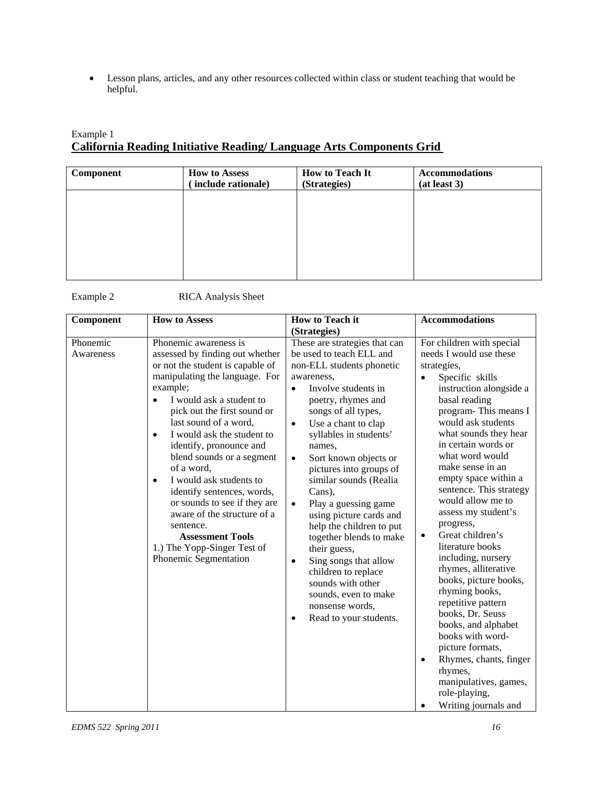Lesson plans, articles, and any other resources collected within class or student teaching that would be helpful.

# Example 1 **California Reading Initiative Reading/ Language Arts Components Grid**

| Component | <b>How to Assess</b><br>include rationale) | <b>How to Teach It</b><br>(Strategies) | <b>Accommodations</b><br>(at least 3) |
|-----------|--------------------------------------------|----------------------------------------|---------------------------------------|
|           |                                            |                                        |                                       |
|           |                                            |                                        |                                       |
|           |                                            |                                        |                                       |
|           |                                            |                                        |                                       |

| Example 2 | <b>RICA</b> Analysis Sheet |
|-----------|----------------------------|
|           |                            |

| Component             | <b>How to Assess</b>                                                                                                                                                                                                                                                                                                                                                                                                                                                                                                                                                                 | <b>How to Teach it</b><br>(Strategies)                                                                                                                                                                                                                                                                                                                                                                                                                                                                                                                                                                                                                                        | <b>Accommodations</b>                                                                                                                                                                                                                                                                                                                                                                                                                                                                                                                                                                                                                                                                                                                                                       |
|-----------------------|--------------------------------------------------------------------------------------------------------------------------------------------------------------------------------------------------------------------------------------------------------------------------------------------------------------------------------------------------------------------------------------------------------------------------------------------------------------------------------------------------------------------------------------------------------------------------------------|-------------------------------------------------------------------------------------------------------------------------------------------------------------------------------------------------------------------------------------------------------------------------------------------------------------------------------------------------------------------------------------------------------------------------------------------------------------------------------------------------------------------------------------------------------------------------------------------------------------------------------------------------------------------------------|-----------------------------------------------------------------------------------------------------------------------------------------------------------------------------------------------------------------------------------------------------------------------------------------------------------------------------------------------------------------------------------------------------------------------------------------------------------------------------------------------------------------------------------------------------------------------------------------------------------------------------------------------------------------------------------------------------------------------------------------------------------------------------|
| Phonemic<br>Awareness | Phonemic awareness is<br>assessed by finding out whether<br>or not the student is capable of<br>manipulating the language. For<br>example;<br>I would ask a student to<br>pick out the first sound or<br>last sound of a word,<br>I would ask the student to<br>$\bullet$<br>identify, pronounce and<br>blend sounds or a segment<br>of a word,<br>I would ask students to<br>$\bullet$<br>identify sentences, words,<br>or sounds to see if they are<br>aware of the structure of a<br>sentence.<br><b>Assessment Tools</b><br>1.) The Yopp-Singer Test of<br>Phonemic Segmentation | These are strategies that can<br>be used to teach ELL and<br>non-ELL students phonetic<br>awareness,<br>Involve students in<br>$\bullet$<br>poetry, rhymes and<br>songs of all types,<br>Use a chant to clap<br>$\bullet$<br>syllables in students'<br>names.<br>Sort known objects or<br>$\bullet$<br>pictures into groups of<br>similar sounds (Realia<br>Cans).<br>Play a guessing game<br>$\bullet$<br>using picture cards and<br>help the children to put<br>together blends to make<br>their guess,<br>Sing songs that allow<br>$\bullet$<br>children to replace<br>sounds with other<br>sounds, even to make<br>nonsense words,<br>Read to your students.<br>$\bullet$ | For children with special<br>needs I would use these<br>strategies,<br>Specific skills<br>$\bullet$<br>instruction alongside a<br>basal reading<br>program-This means I<br>would ask students<br>what sounds they hear<br>in certain words or<br>what word would<br>make sense in an<br>empty space within a<br>sentence. This strategy<br>would allow me to<br>assess my student's<br>progress,<br>Great children's<br>$\bullet$<br>literature books<br>including, nursery<br>rhymes, alliterative<br>books, picture books,<br>rhyming books,<br>repetitive pattern<br>books, Dr. Seuss<br>books, and alphabet<br>books with word-<br>picture formats,<br>Rhymes, chants, finger<br>$\bullet$<br>rhymes,<br>manipulatives, games,<br>role-playing,<br>Writing journals and |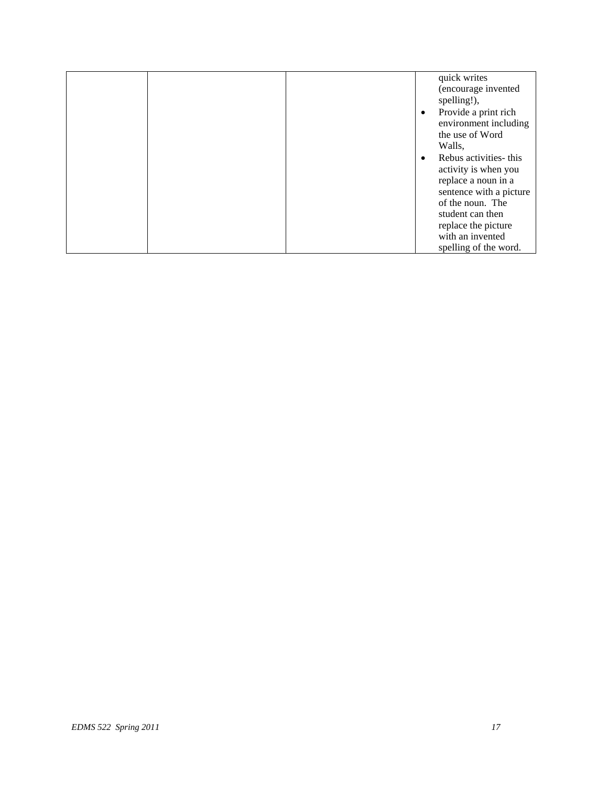|  |  | quick writes            |
|--|--|-------------------------|
|  |  | (encourage invented     |
|  |  | spelling!),             |
|  |  | Provide a print rich    |
|  |  | environment including   |
|  |  | the use of Word         |
|  |  | Walls,                  |
|  |  | Rebus activities- this  |
|  |  | activity is when you    |
|  |  | replace a noun in a     |
|  |  | sentence with a picture |
|  |  | of the noun. The        |
|  |  | student can then        |
|  |  | replace the picture     |
|  |  | with an invented        |
|  |  | spelling of the word.   |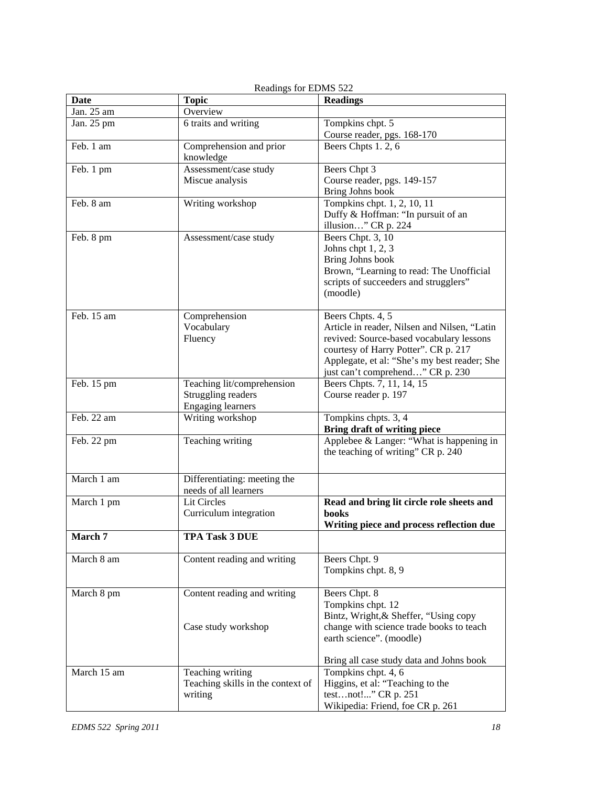| <b>Date</b> | <b>Topic</b>                         | <b>Readings</b>                                                                          |
|-------------|--------------------------------------|------------------------------------------------------------------------------------------|
| Jan. 25 am  | Overview                             |                                                                                          |
| Jan. 25 pm  | 6 traits and writing                 | Tompkins chpt. 5                                                                         |
|             |                                      | Course reader, pgs. 168-170                                                              |
| Feb. 1 am   | Comprehension and prior<br>knowledge | Beers Chpts 1.2, 6                                                                       |
| Feb. 1 pm   | Assessment/case study                | Beers Chpt 3                                                                             |
|             | Miscue analysis                      | Course reader, pgs. 149-157                                                              |
|             |                                      | Bring Johns book                                                                         |
| Feb. 8 am   | Writing workshop                     | Tompkins chpt. 1, 2, 10, 11<br>Duffy & Hoffman: "In pursuit of an<br>illusion" CR p. 224 |
| Feb. 8 pm   | Assessment/case study                | Beers Chpt. 3, 10                                                                        |
|             |                                      | Johns chpt 1, 2, 3                                                                       |
|             |                                      | Bring Johns book                                                                         |
|             |                                      | Brown, "Learning to read: The Unofficial                                                 |
|             |                                      | scripts of succeeders and strugglers"                                                    |
|             |                                      | (moodle)                                                                                 |
| Feb. 15 am  | Comprehension                        | Beers Chpts. 4, 5                                                                        |
|             | Vocabulary                           | Article in reader, Nilsen and Nilsen, "Latin                                             |
|             | Fluency                              | revived: Source-based vocabulary lessons                                                 |
|             |                                      | courtesy of Harry Potter". CR p. 217                                                     |
|             |                                      | Applegate, et al: "She's my best reader; She                                             |
|             |                                      | just can't comprehend" CR p. 230                                                         |
| Feb. 15 pm  | Teaching lit/comprehension           | Beers Chpts. 7, 11, 14, 15                                                               |
|             | Struggling readers                   | Course reader p. 197                                                                     |
|             | <b>Engaging learners</b>             |                                                                                          |
| Feb. 22 am  | Writing workshop                     | Tompkins chpts. 3, 4                                                                     |
|             |                                      | <b>Bring draft of writing piece</b>                                                      |
| Feb. 22 pm  | Teaching writing                     | Applebee & Langer: "What is happening in<br>the teaching of writing" CR p. 240           |
| March 1 am  | Differentiating: meeting the         |                                                                                          |
|             | needs of all learners                |                                                                                          |
| March 1 pm  | Lit Circles                          | Read and bring lit circle role sheets and                                                |
|             | Curriculum integration               | books                                                                                    |
|             |                                      | Writing piece and process reflection due                                                 |
| March 7     | <b>TPA Task 3 DUE</b>                |                                                                                          |
| March 8 am  | Content reading and writing          | Beers Chpt. 9                                                                            |
|             |                                      | Tompkins chpt. 8, 9                                                                      |
| March 8 pm  | Content reading and writing          | Beers Chpt. 8                                                                            |
|             |                                      | Tompkins chpt. 12                                                                        |
|             |                                      | Bintz, Wright, & Sheffer, "Using copy                                                    |
|             | Case study workshop                  | change with science trade books to teach                                                 |
|             |                                      | earth science". (moodle)                                                                 |
|             |                                      | Bring all case study data and Johns book                                                 |
| March 15 am | Teaching writing                     | Tompkins chpt. 4, 6                                                                      |
|             | Teaching skills in the context of    | Higgins, et al: "Teaching to the                                                         |
|             | writing                              | testnot!" CR p. 251                                                                      |
|             |                                      | Wikipedia: Friend, foe CR p. 261                                                         |